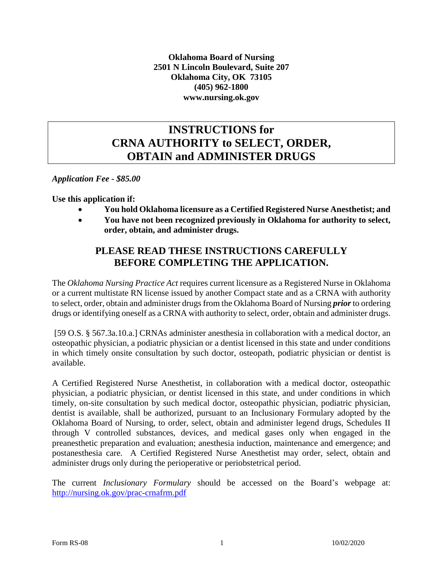**Oklahoma Board of Nursing 2501 N Lincoln Boulevard, Suite 207 Oklahoma City, OK 73105 (405) 962-1800 www.nursing.ok.gov**

### **INSTRUCTIONS for CRNA AUTHORITY to SELECT, ORDER, OBTAIN and ADMINISTER DRUGS**

*Application Fee - \$85.00*

**Use this application if:**

- **You hold Oklahoma licensure as a Certified Registered Nurse Anesthetist; and**
- **You have not been recognized previously in Oklahoma for authority to select, order, obtain, and administer drugs.**

### **PLEASE READ THESE INSTRUCTIONS CAREFULLY BEFORE COMPLETING THE APPLICATION.**

The *Oklahoma Nursing Practice Act* requires current licensure as a Registered Nurse in Oklahoma or a current multistate RN license issued by another Compact state and as a CRNA with authority to select, order, obtain and administer drugs from the Oklahoma Board of Nursing *prior* to ordering drugs or identifying oneself as a CRNA with authority to select, order, obtain and administer drugs.

[59 O.S. § 567.3a.10.a.] CRNAs administer anesthesia in collaboration with a medical doctor, an osteopathic physician, a podiatric physician or a dentist licensed in this state and under conditions in which timely onsite consultation by such doctor, osteopath, podiatric physician or dentist is available.

A Certified Registered Nurse Anesthetist, in collaboration with a medical doctor, osteopathic physician, a podiatric physician, or dentist licensed in this state, and under conditions in which timely, on-site consultation by such medical doctor, osteopathic physician, podiatric physician, dentist is available, shall be authorized, pursuant to an Inclusionary Formulary adopted by the Oklahoma Board of Nursing, to order, select, obtain and administer legend drugs, Schedules II through V controlled substances, devices, and medical gases only when engaged in the preanesthetic preparation and evaluation; anesthesia induction, maintenance and emergence; and postanesthesia care. A Certified Registered Nurse Anesthetist may order, select, obtain and administer drugs only during the perioperative or periobstetrical period.

The current *Inclusionary Formulary* should be accessed on the Board's webpage at: <http://nursing.ok.gov/prac-crnafrm.pdf>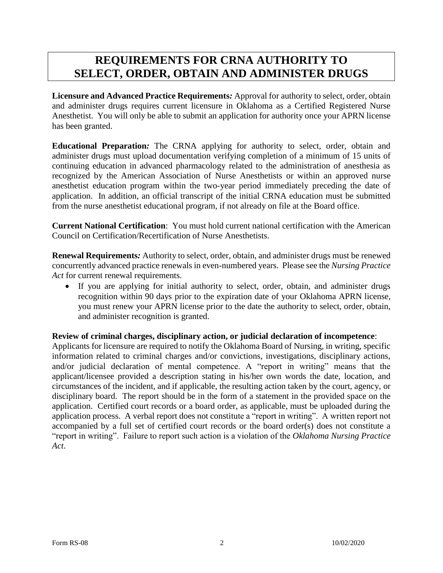# **REQUIREMENTS FOR CRNA AUTHORITY TO SELECT, ORDER, OBTAIN AND ADMINISTER DRUGS**

**Licensure and Advanced Practice Requirements***:* Approval for authority to select, order, obtain and administer drugs requires current licensure in Oklahoma as a Certified Registered Nurse Anesthetist. You will only be able to submit an application for authority once your APRN license has been granted.

**Educational Preparation***:* The CRNA applying for authority to select, order, obtain and administer drugs must upload documentation verifying completion of a minimum of 15 units of continuing education in advanced pharmacology related to the administration of anesthesia as recognized by the American Association of Nurse Anesthetists or within an approved nurse anesthetist education program within the two-year period immediately preceding the date of application. In addition, an official transcript of the initial CRNA education must be submitted from the nurse anesthetist educational program, if not already on file at the Board office.

**Current National Certification**: You must hold current national certification with the American Council on Certification/Recertification of Nurse Anesthetists.

**Renewal Requirements***:* Authority to select, order, obtain, and administer drugs must be renewed concurrently advanced practice renewals in even-numbered years. Please see the *Nursing Practice Act* for current renewal requirements.

 If you are applying for initial authority to select, order, obtain, and administer drugs recognition within 90 days prior to the expiration date of your Oklahoma APRN license, you must renew your APRN license prior to the date the authority to select, order, obtain, and administer recognition is granted.

#### **Review of criminal charges, disciplinary action, or judicial declaration of incompetence**:

Applicants for licensure are required to notify the Oklahoma Board of Nursing, in writing, specific information related to criminal charges and/or convictions, investigations, disciplinary actions, and/or judicial declaration of mental competence. A "report in writing" means that the applicant/licensee provided a description stating in his/her own words the date, location, and circumstances of the incident, and if applicable, the resulting action taken by the court, agency, or disciplinary board. The report should be in the form of a statement in the provided space on the application. Certified court records or a board order, as applicable, must be uploaded during the application process. A verbal report does not constitute a "report in writing". A written report not accompanied by a full set of certified court records or the board order(s) does not constitute a "report in writing". Failure to report such action is a violation of the *Oklahoma Nursing Practice Act*.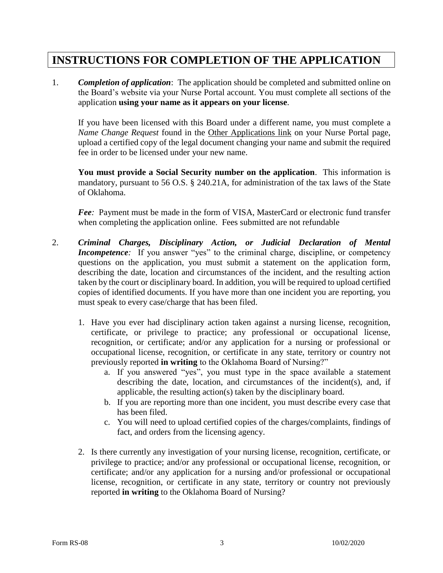# **INSTRUCTIONS FOR COMPLETION OF THE APPLICATION**

1. *Completion of application*: The application should be completed and submitted online on the Board's website via your Nurse Portal account. You must complete all sections of the application **using your name as it appears on your license**.

If you have been licensed with this Board under a different name, you must complete a *Name Change Request* found in the Other Applications link on your Nurse Portal page, upload a certified copy of the legal document changing your name and submit the required fee in order to be licensed under your new name.

**You must provide a Social Security number on the application**. This information is mandatory, pursuant to 56 O.S. § 240.21A, for administration of the tax laws of the State of Oklahoma.

*Fee:* Payment must be made in the form of VISA, MasterCard or electronic fund transfer when completing the application online. Fees submitted are not refundable

- 2. *Criminal Charges, Disciplinary Action, or Judicial Declaration of Mental Incompetence*: If you answer "yes" to the criminal charge, discipline, or competency questions on the application, you must submit a statement on the application form, describing the date, location and circumstances of the incident, and the resulting action taken by the court or disciplinary board. In addition, you will be required to upload certified copies of identified documents. If you have more than one incident you are reporting, you must speak to every case/charge that has been filed.
	- 1. Have you ever had disciplinary action taken against a nursing license, recognition, certificate, or privilege to practice; any professional or occupational license, recognition, or certificate; and/or any application for a nursing or professional or occupational license, recognition, or certificate in any state, territory or country not previously reported **in writing** to the Oklahoma Board of Nursing?"
		- a. If you answered "yes", you must type in the space available a statement describing the date, location, and circumstances of the incident(s), and, if applicable, the resulting action(s) taken by the disciplinary board.
		- b. If you are reporting more than one incident, you must describe every case that has been filed.
		- c. You will need to upload certified copies of the charges/complaints, findings of fact, and orders from the licensing agency.
	- 2. Is there currently any investigation of your nursing license, recognition, certificate, or privilege to practice; and/or any professional or occupational license, recognition, or certificate; and/or any application for a nursing and/or professional or occupational license, recognition, or certificate in any state, territory or country not previously reported **in writing** to the Oklahoma Board of Nursing?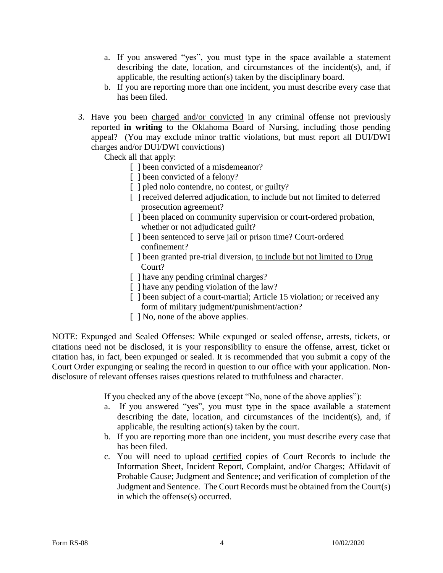- a. If you answered "yes", you must type in the space available a statement describing the date, location, and circumstances of the incident(s), and, if applicable, the resulting action(s) taken by the disciplinary board.
- b. If you are reporting more than one incident, you must describe every case that has been filed.
- 3. Have you been charged and/or convicted in any criminal offense not previously reported **in writing** to the Oklahoma Board of Nursing, including those pending appeal? (You may exclude minor traffic violations, but must report all DUI/DWI charges and/or DUI/DWI convictions)

Check all that apply:

- [ ] been convicted of a misdemeanor?
- [ ] been convicted of a felony?
- [ ] pled nolo contendre, no contest, or guilty?
- [ ] received deferred adjudication, to include but not limited to deferred prosecution agreement?
- [] been placed on community supervision or court-ordered probation, whether or not adjudicated guilt?
- [ ] been sentenced to serve jail or prison time? Court-ordered confinement?
- [ ] been granted pre-trial diversion, to include but not limited to Drug Court?
- [ ] have any pending criminal charges?
- [ ] have any pending violation of the law?
- [] been subject of a court-martial; Article 15 violation; or received any form of military judgment/punishment/action?
- [ ] No, none of the above applies.

NOTE: Expunged and Sealed Offenses: While expunged or sealed offense, arrests, tickets, or citations need not be disclosed, it is your responsibility to ensure the offense, arrest, ticket or citation has, in fact, been expunged or sealed. It is recommended that you submit a copy of the Court Order expunging or sealing the record in question to our office with your application. Nondisclosure of relevant offenses raises questions related to truthfulness and character.

If you checked any of the above (except "No, none of the above applies"):

- a. If you answered "yes", you must type in the space available a statement describing the date, location, and circumstances of the incident(s), and, if applicable, the resulting action(s) taken by the court.
- b. If you are reporting more than one incident, you must describe every case that has been filed.
- c. You will need to upload certified copies of Court Records to include the Information Sheet, Incident Report, Complaint, and/or Charges; Affidavit of Probable Cause; Judgment and Sentence; and verification of completion of the Judgment and Sentence. The Court Records must be obtained from the Court(s) in which the offense(s) occurred.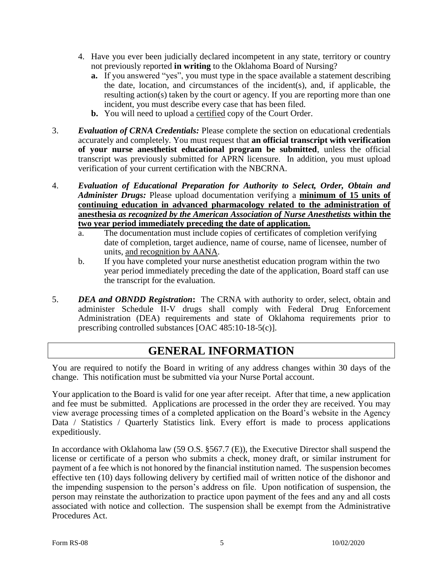- 4. Have you ever been judicially declared incompetent in any state, territory or country not previously reported **in writing** to the Oklahoma Board of Nursing?
	- **a.** If you answered "yes", you must type in the space available a statement describing the date, location, and circumstances of the incident(s), and, if applicable, the resulting action(s) taken by the court or agency. If you are reporting more than one incident, you must describe every case that has been filed.
	- **b.** You will need to upload a certified copy of the Court Order.
- 3. *Evaluation of CRNA Credentials:* Please complete the section on educational credentials accurately and completely. You must request that **an official transcript with verification of your nurse anesthetist educational program be submitted**, unless the official transcript was previously submitted for APRN licensure. In addition, you must upload verification of your current certification with the NBCRNA.
- 4. *Evaluation of Educational Preparation for Authority to Select, Order, Obtain and Administer Drugs:* Please upload documentation verifying a **minimum of 15 units of continuing education in advanced pharmacology related to the administration of anesthesia** *as recognized by the American Association of Nurse Anesthetists* **within the two year period immediately preceding the date of application.**
	- a. The documentation must include copies of certificates of completion verifying date of completion, target audience, name of course, name of licensee, number of units, and recognition by AANA.
	- b. If you have completed your nurse anesthetist education program within the two year period immediately preceding the date of the application, Board staff can use the transcript for the evaluation.
- 5. *DEA and OBNDD Registration***:** The CRNA with authority to order, select, obtain and administer Schedule II-V drugs shall comply with Federal Drug Enforcement Administration (DEA) requirements and state of Oklahoma requirements prior to prescribing controlled substances [OAC 485:10-18-5(c)].

# **GENERAL INFORMATION**

You are required to notify the Board in writing of any address changes within 30 days of the change. This notification must be submitted via your Nurse Portal account.

Your application to the Board is valid for one year after receipt. After that time, a new application and fee must be submitted. Applications are processed in the order they are received. You may view average processing times of a completed application on the Board's website in the Agency Data / Statistics / Quarterly Statistics link. Every effort is made to process applications expeditiously.

In accordance with Oklahoma law (59 O.S. §567.7 (E)), the Executive Director shall suspend the license or certificate of a person who submits a check, money draft, or similar instrument for payment of a fee which is not honored by the financial institution named. The suspension becomes effective ten (10) days following delivery by certified mail of written notice of the dishonor and the impending suspension to the person's address on file. Upon notification of suspension, the person may reinstate the authorization to practice upon payment of the fees and any and all costs associated with notice and collection. The suspension shall be exempt from the Administrative Procedures Act.